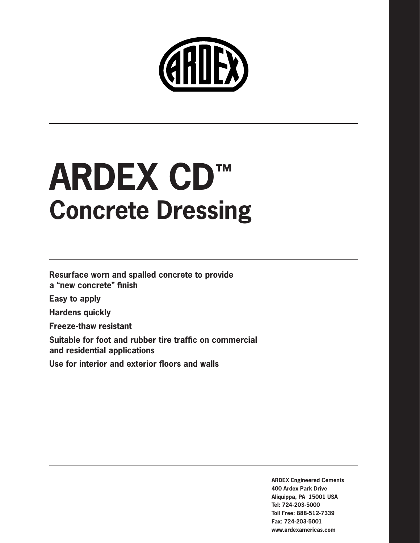

# **ARDEX CD™ Concrete Dressing**

**Resurface worn and spalled concrete to provide a "new concrete" finish**

**Easy to apply**

**Hardens quickly**

**Freeze-thaw resistant**

**Suitable for foot and rubber tire traffic on commercial and residential applications**

**Use for interior and exterior floors and walls**

**ARDEX Engineered Cements 400 Ardex Park Drive Aliquippa, PA 15001 USA Tel: 724-203-5000 Toll Free: 888-512-7339 Fax: 724-203-5001 www.ardexamericas.com**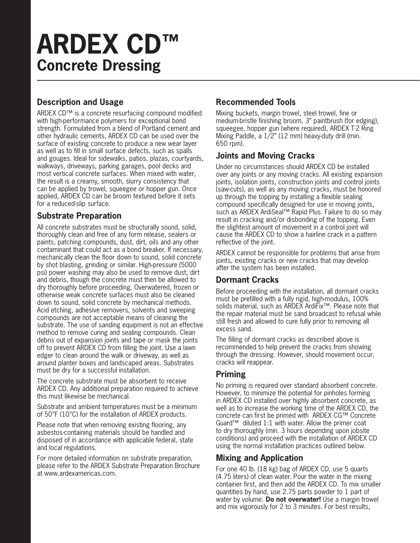# **ARDEX CD™ Concrete Dressing**

# **Description and Usage**

ARDEX CD™ is a concrete resurfacing compound modified with high-performance polymers for exceptional bond strength. Formulated from a blend of Portland cement and other hydraulic cements, ARDEX CD can be used over the surface of existing concrete to produce a new wear layer as well as to fill in small surface defects, such as spalls and gouges. Ideal for sidewalks, patios, plazas, courtyards, walkways, driveways, parking garages, pool decks and most vertical concrete surfaces. When mixed with water, the result is a creamy, smooth, slurry consistency that can be applied by trowel, squeegee or hopper gun. Once applied, ARDEX CD can be broom textured before it sets for a reduced-slip surface.

#### **Substrate Preparation**

All concrete substrates must be structurally sound, solid, thoroughly clean and free of any form release, sealers or paints, patching compounds, dust, dirt, oils and any other contaminant that could act as a bond breaker. If necessary, mechanically clean the floor down to sound, solid concrete by shot blasting, grinding or similar. High-pressure (5000 psi) power washing may also be used to remove dust, dirt and debris, though the concrete must then be allowed to dry thoroughly before proceeding. Overwatered, frozen or otherwise weak concrete surfaces must also be cleaned down to sound, solid concrete by mechanical methods. Acid etching, adhesive removers, solvents and sweeping compounds are not acceptable means of cleaning the substrate. The use of sanding equipment is not an effective method to remove curing and sealing compounds. Clean debris out of expansion joints and tape or mask the joints off to prevent ARDEX CD from filling the joint. Use a lawn edger to clean around the walk or driveway, as well as around planter boxes and landscaped areas. Substrates must be dry for a successful installation.

The concrete substrate must be absorbent to receive ARDEX CD. Any additional preparation required to achieve this must likewise be mechanical.

Substrate and ambient temperatures must be a minimum of 50°F (10°C) for the installation of ARDEX products.

Please note that when removing existing flooring, any asbestos-containing materials should be handled and disposed of in accordance with applicable federal, state and local regulations.

For more detailed information on substrate preparation, please refer to the ARDEX Substrate Preparation Brochure at www.ardexamericas.com.

# **Recommended Tools**

Mixing buckets, margin trowel, steel trowel, fine or medium-bristle finishing broom, 3" paintbrush (for edging), squeegee, hopper gun (where required), ARDEX T-2 Ring Mixing Paddle, a 1/2" (12 mm) heavy-duty drill (min. 650 rpm).

# **Joints and Moving Cracks**

Under no circumstances should ARDEX CD be installed over any joints or any moving cracks. All existing expansion joints, isolation joints, construction joints and control joints (saw-cuts), as well as any moving cracks, must be honored up through the topping by installing a flexible sealing compound specifically designed for use in moving joints, such as ARDEX ArdiSeal™ Rapid Plus. Failure to do so may result in cracking and/or disbonding of the topping. Even the slightest amount of movement in a control joint will cause the ARDEX CD to show a hairline crack in a pattern reflective of the joint.

ARDEX cannot be responsible for problems that arise from joints, existing cracks or new cracks that may develop after the system has been installed.

## **Dormant Cracks**

Before proceeding with the installation, all dormant cracks must be prefilled with a fully rigid, high-modulus, 100% solids material, such as ARDEX ArdiFix™. Please note that the repair material must be sand broadcast to refusal while still fresh and allowed to cure fully prior to removing all excess sand.

The filling of dormant cracks as described above is recommended to help prevent the cracks from showing through the dressing. However, should movement occur, cracks will reappear.

#### **Priming**

No priming is required over standard absorbent concrete. However, to minimize the potential for pinholes forming in ARDEX CD installed over highly absorbent concrete, as well as to increase the working time of the ARDEX CD, the concrete can first be primed with ARDEX CG™ Concrete Guard™ diluted 1:1 with water. Allow the primer coat to dry thoroughly (min. 3 hours depending upon jobsite conditions) and proceed with the installation of ARDEX CD using the normal installation practices outlined below.

## **Mixing and Application**

For one 40 lb. (18 kg) bag of ARDEX CD, use 5 quarts (4.75 liters) of clean water. Pour the water in the mixing container first, and then add the ARDEX CD. To mix smaller quantities by hand, use 2.75 parts powder to 1 part of water by volume. **Do not overwater!** Use a margin trowel and mix vigorously for 2 to 3 minutes. For best results,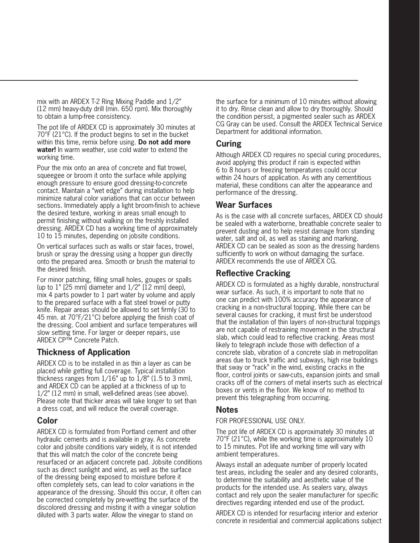mix with an ARDEX T-2 Ring Mixing Paddle and 1/2" (12 mm) heavy-duty drill (min. 650 rpm). Mix thoroughly to obtain a lump-free consistency.

The pot life of ARDEX CD is approximately 30 minutes at 70°F (21°C). If the product begins to set in the bucket within this time, remix before using. **Do not add more water!** In warm weather, use cold water to extend the working time.

Pour the mix onto an area of concrete and flat trowel, squeegee or broom it onto the surface while applying enough pressure to ensure good dressing-to-concrete contact. Maintain a "wet edge" during installation to help minimize natural color variations that can occur between sections. Immediately apply a light broom-finish to achieve the desired texture, working in areas small enough to permit finishing without walking on the freshly installed dressing. ARDEX CD has a working time of approximately 10 to 15 minutes, depending on jobsite conditions.

On vertical surfaces such as walls or stair faces, trowel, brush or spray the dressing using a hopper gun directly onto the prepared area. Smooth or brush the material to the desired finish.

For minor patching, filling small holes, gouges or spalls (up to  $1$ "  $[25 \text{ mm}]$  diameter and  $1/2$ "  $[12 \text{ mm}]$  deep), mix 4 parts powder to 1 part water by volume and apply to the prepared surface with a flat steel trowel or putty knife. Repair areas should be allowed to set firmly (30 to 45 min. at 70°F/21°C) before applying the finish coat of the dressing. Cool ambient and surface temperatures will slow setting time. For larger or deeper repairs, use ARDEX CP™ Concrete Patch.

#### **Thickness of Application**

ARDEX CD is to be installed in as thin a layer as can be placed while getting full coverage. Typical installation thickness ranges from  $1/16$ " up to  $1/8$ " (1.5 to 3 mm), and ARDEX CD can be applied at a thickness of up to 1/2" (12 mm) in small, well-defined areas (see above). Please note that thicker areas will take longer to set than a dress coat, and will reduce the overall coverage.

#### **Color**

ARDEX CD is formulated from Portland cement and other hydraulic cements and is available in gray. As concrete color and jobsite conditions vary widely, it is not intended that this will match the color of the concrete being resurfaced or an adjacent concrete pad. Jobsite conditions such as direct sunlight and wind, as well as the surface of the dressing being exposed to moisture before it often completely sets, can lead to color variations in the appearance of the dressing. Should this occur, it often can be corrected completely by pre-wetting the surface of the discolored dressing and misting it with a vinegar solution diluted with 3 parts water. Allow the vinegar to stand on

the surface for a minimum of 10 minutes without allowing it to dry. Rinse clean and allow to dry thoroughly. Should the condition persist, a pigmented sealer such as ARDEX CG Gray can be used. Consult the ARDEX Technical Service Department for additional information.

#### **Curing**

Although ARDEX CD requires no special curing procedures, avoid applying this product if rain is expected within 6 to 8 hours or freezing temperatures could occur within 24 hours of application. As with any cementitious material, these conditions can alter the appearance and performance of the dressing.

#### **Wear Surfaces**

As is the case with all concrete surfaces, ARDEX CD should be sealed with a waterborne, breathable concrete sealer to prevent dusting and to help resist damage from standing water, salt and oil, as well as staining and marking. ARDEX CD can be sealed as soon as the dressing hardens sufficiently to work on without damaging the surface. ARDEX recommends the use of ARDEX CG.

#### **Reflective Cracking**

ARDEX CD is formulated as a highly durable, nonstructural wear surface. As such, it is important to note that no one can predict with 100% accuracy the appearance of cracking in a non-structural topping. While there can be several causes for cracking, it must first be understood that the installation of thin layers of non-structural toppings are not capable of restraining movement in the structural slab, which could lead to reflective cracking. Areas most likely to telegraph include those with deflection of a concrete slab, vibration of a concrete slab in metropolitan areas due to truck traffic and subways, high rise buildings that sway or "rack" in the wind, existing cracks in the floor, control joints or saw-cuts, expansion joints and small cracks off of the corners of metal inserts such as electrical boxes or vents in the floor. We know of no method to prevent this telegraphing from occurring.

#### **Notes**

#### FOR PROFESSIONAL USE ONLY.

The pot life of ARDEX CD is approximately 30 minutes at 70°F (21°C), while the working time is approximately 10 to 15 minutes. Pot life and working time will vary with ambient temperatures.

Always install an adequate number of properly located test areas, including the sealer and any desired colorants, to determine the suitability and aesthetic value of the products for the intended use. As sealers vary, always contact and rely upon the sealer manufacturer for specific directives regarding intended end use of the product.

ARDEX CD is intended for resurfacing interior and exterior concrete in residential and commercial applications subject